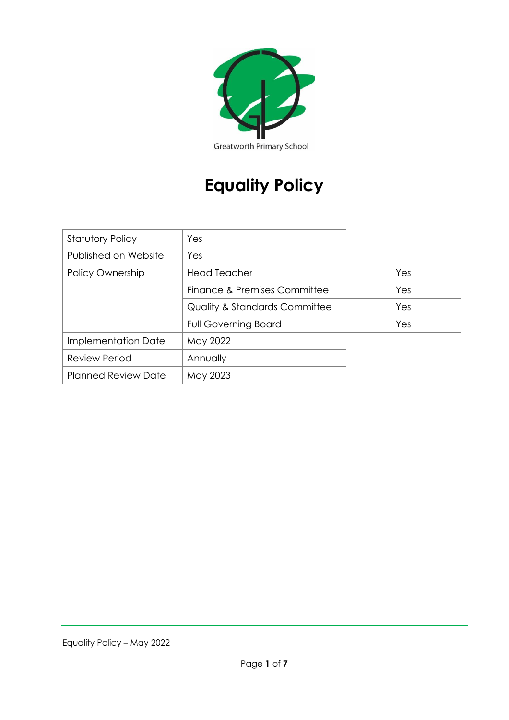

# **Equality Policy**

| <b>Statutory Policy</b>    | Yes                                      |     |
|----------------------------|------------------------------------------|-----|
| Published on Website       | Yes                                      |     |
| Policy Ownership           | <b>Head Teacher</b>                      | Yes |
|                            | Finance & Premises Committee             | Yes |
|                            | <b>Quality &amp; Standards Committee</b> | Yes |
|                            | <b>Full Governing Board</b>              | Yes |
| Implementation Date        | May 2022                                 |     |
| <b>Review Period</b>       | Annually                                 |     |
| <b>Planned Review Date</b> | May 2023                                 |     |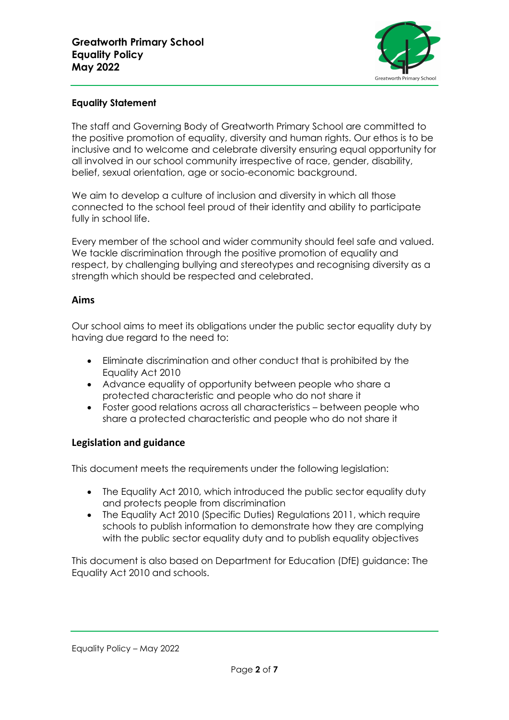

### **Equality Statement**

The staff and Governing Body of Greatworth Primary School are committed to the positive promotion of equality, diversity and human rights. Our ethos is to be inclusive and to welcome and celebrate diversity ensuring equal opportunity for all involved in our school community irrespective of race, gender, disability, belief, sexual orientation, age or socio-economic background.

We aim to develop a culture of inclusion and diversity in which all those connected to the school feel proud of their identity and ability to participate fully in school life.

Every member of the school and wider community should feel safe and valued. We tackle discrimination through the positive promotion of equality and respect, by challenging bullying and stereotypes and recognising diversity as a strength which should be respected and celebrated.

#### **Aims**

Our school aims to meet its obligations under the public sector equality duty by having due regard to the need to:

- Eliminate discrimination and other conduct that is prohibited by the Equality Act 2010
- Advance equality of opportunity between people who share a protected characteristic and people who do not share it
- Foster good relations across all characteristics between people who share a protected characteristic and people who do not share it

#### **Legislation and guidance**

This document meets the requirements under the following legislation:

- The Equality Act 2010, which introduced the public sector equality duty and protects people from discrimination
- The Equality Act 2010 (Specific Duties) Regulations 2011, which require schools to publish information to demonstrate how they are complying with the public sector equality duty and to publish equality objectives

This document is also based on Department for Education (DfE) guidance: The Equality Act 2010 and schools.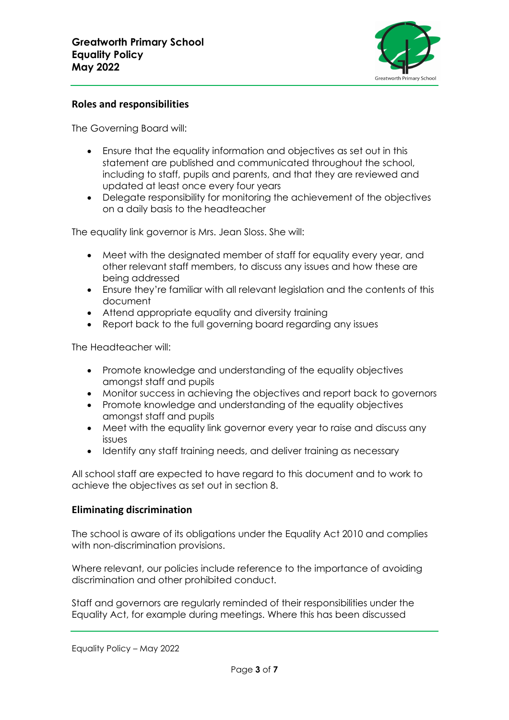

## **Roles and responsibilities**

The Governing Board will:

- Ensure that the equality information and objectives as set out in this statement are published and communicated throughout the school, including to staff, pupils and parents, and that they are reviewed and updated at least once every four years
- Delegate responsibility for monitoring the achievement of the objectives on a daily basis to the headteacher

The equality link governor is Mrs. Jean Sloss. She will:

- Meet with the designated member of staff for equality every year, and other relevant staff members, to discuss any issues and how these are being addressed
- Ensure they're familiar with all relevant legislation and the contents of this document
- Attend appropriate equality and diversity training
- Report back to the full governing board regarding any issues

The Headteacher will:

- Promote knowledge and understanding of the equality objectives amongst staff and pupils
- Monitor success in achieving the objectives and report back to governors
- Promote knowledge and understanding of the equality objectives amongst staff and pupils
- Meet with the equality link governor every year to raise and discuss any issues
- Identify any staff training needs, and deliver training as necessary

All school staff are expected to have regard to this document and to work to achieve the objectives as set out in section 8.

#### **Eliminating discrimination**

The school is aware of its obligations under the Equality Act 2010 and complies with non-discrimination provisions.

Where relevant, our policies include reference to the importance of avoiding discrimination and other prohibited conduct.

Staff and governors are regularly reminded of their responsibilities under the Equality Act, for example during meetings. Where this has been discussed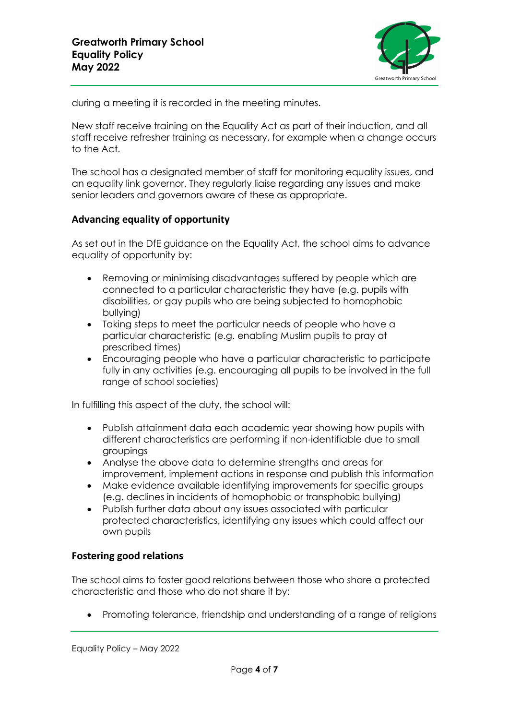

during a meeting it is recorded in the meeting minutes.

New staff receive training on the Equality Act as part of their induction, and all staff receive refresher training as necessary, for example when a change occurs to the Act.

The school has a designated member of staff for monitoring equality issues, and an equality link governor. They regularly liaise regarding any issues and make senior leaders and governors aware of these as appropriate.

#### **Advancing equality of opportunity**

As set out in the DfE guidance on the Equality Act, the school aims to advance equality of opportunity by:

- Removing or minimising disadvantages suffered by people which are connected to a particular characteristic they have (e.g. pupils with disabilities, or gay pupils who are being subjected to homophobic bullying)
- Taking steps to meet the particular needs of people who have a particular characteristic (e.g. enabling Muslim pupils to pray at prescribed times)
- Encouraging people who have a particular characteristic to participate fully in any activities (e.g. encouraging all pupils to be involved in the full range of school societies)

In fulfilling this aspect of the duty, the school will:

- Publish attainment data each academic year showing how pupils with different characteristics are performing if non-identifiable due to small groupings
- Analyse the above data to determine strengths and areas for improvement, implement actions in response and publish this information
- Make evidence available identifying improvements for specific groups (e.g. declines in incidents of homophobic or transphobic bullying)
- Publish further data about any issues associated with particular protected characteristics, identifying any issues which could affect our own pupils

#### **Fostering good relations**

The school aims to foster good relations between those who share a protected characteristic and those who do not share it by:

• Promoting tolerance, friendship and understanding of a range of religions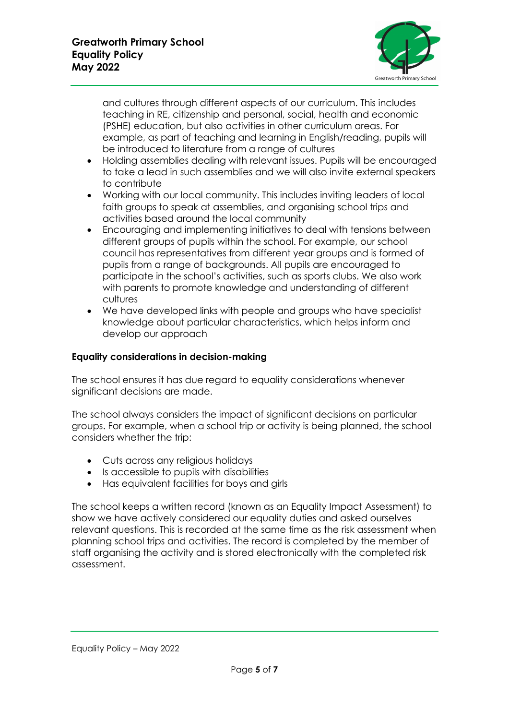

and cultures through different aspects of our curriculum. This includes teaching in RE, citizenship and personal, social, health and economic (PSHE) education, but also activities in other curriculum areas. For example, as part of teaching and learning in English/reading, pupils will be introduced to literature from a range of cultures

- Holding assemblies dealing with relevant issues. Pupils will be encouraged to take a lead in such assemblies and we will also invite external speakers to contribute
- Working with our local community. This includes inviting leaders of local faith groups to speak at assemblies, and organising school trips and activities based around the local community
- Encouraging and implementing initiatives to deal with tensions between different groups of pupils within the school. For example, our school council has representatives from different year groups and is formed of pupils from a range of backgrounds. All pupils are encouraged to participate in the school's activities, such as sports clubs. We also work with parents to promote knowledge and understanding of different cultures
- We have developed links with people and groups who have specialist knowledge about particular characteristics, which helps inform and develop our approach

## **Equality considerations in decision-making**

The school ensures it has due regard to equality considerations whenever significant decisions are made.

The school always considers the impact of significant decisions on particular groups. For example, when a school trip or activity is being planned, the school considers whether the trip:

- Cuts across any religious holidays
- Is accessible to pupils with disabilities
- Has equivalent facilities for boys and girls

The school keeps a written record (known as an Equality Impact Assessment) to show we have actively considered our equality duties and asked ourselves relevant questions. This is recorded at the same time as the risk assessment when planning school trips and activities. The record is completed by the member of staff organising the activity and is stored electronically with the completed risk assessment.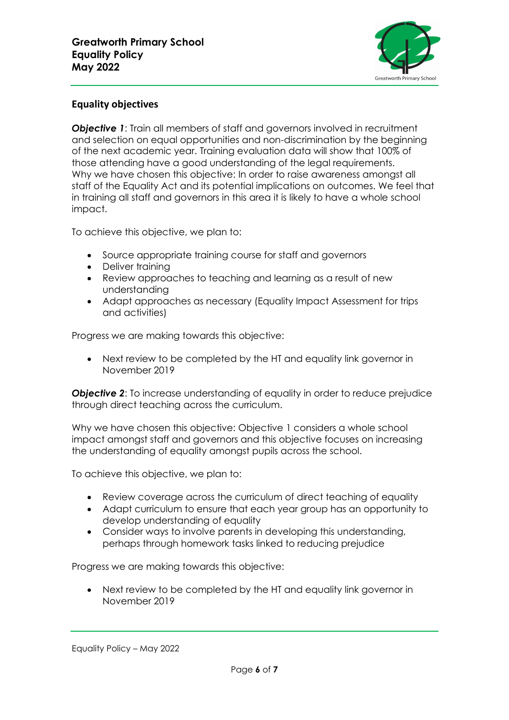

## **Equality objectives**

*Objective 1:* Train all members of staff and governors involved in recruitment and selection on equal opportunities and non-discrimination by the beginning of the next academic year. Training evaluation data will show that 100% of those attending have a good understanding of the legal requirements. Why we have chosen this objective: In order to raise awareness amongst all staff of the Equality Act and its potential implications on outcomes. We feel that in training all staff and governors in this area it is likely to have a whole school impact.

To achieve this objective, we plan to:

- Source appropriate training course for staff and governors
- Deliver training
- Review approaches to teaching and learning as a result of new understanding
- Adapt approaches as necessary (Equality Impact Assessment for trips and activities)

Progress we are making towards this objective:

• Next review to be completed by the HT and equality link governor in November 2019

*Objective 2:* To increase understanding of equality in order to reduce prejudice through direct teaching across the curriculum.

Why we have chosen this objective: Objective 1 considers a whole school impact amongst staff and governors and this objective focuses on increasing the understanding of equality amongst pupils across the school.

To achieve this objective, we plan to:

- Review coverage across the curriculum of direct teaching of equality
- Adapt curriculum to ensure that each year group has an opportunity to develop understanding of equality
- Consider ways to involve parents in developing this understanding, perhaps through homework tasks linked to reducing prejudice

Progress we are making towards this objective:

• Next review to be completed by the HT and equality link governor in November 2019

Equality Policy – May 2022